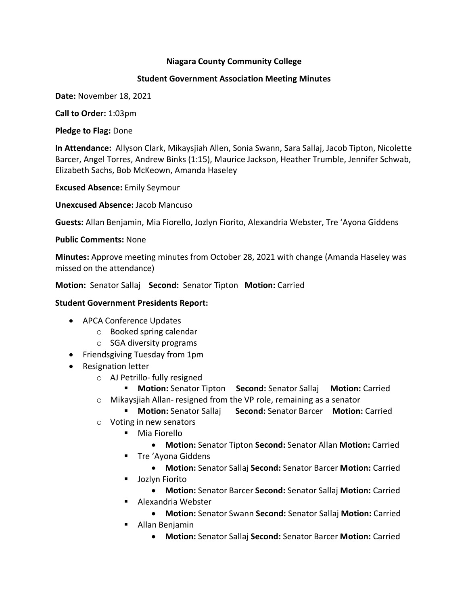### **Niagara County Community College**

### **Student Government Association Meeting Minutes**

**Date:** November 18, 2021

**Call to Order:** 1:03pm

**Pledge to Flag:** Done

**In Attendance:** Allyson Clark, Mikaysjiah Allen, Sonia Swann, Sara Sallaj, Jacob Tipton, Nicolette Barcer, Angel Torres, Andrew Binks (1:15), Maurice Jackson, Heather Trumble, Jennifer Schwab, Elizabeth Sachs, Bob McKeown, Amanda Haseley

**Excused Absence:** Emily Seymour

**Unexcused Absence:** Jacob Mancuso

**Guests:** Allan Benjamin, Mia Fiorello, Jozlyn Fiorito, Alexandria Webster, Tre 'Ayona Giddens

#### **Public Comments:** None

**Minutes:** Approve meeting minutes from October 28, 2021 with change (Amanda Haseley was missed on the attendance)

**Motion:** Senator Sallaj **Second:** Senator Tipton **Motion:** Carried

### **Student Government Presidents Report:**

- APCA Conference Updates
	- o Booked spring calendar
	- o SGA diversity programs
- Friendsgiving Tuesday from 1pm
- Resignation letter
	- o AJ Petrillo- fully resigned
	- § **Motion:** Senator Tipton **Second:** Senator Sallaj **Motion:** Carried
	- o Mikaysjiah Allan- resigned from the VP role, remaining as a senator
		- § **Motion:** Senator Sallaj **Second:** Senator Barcer **Motion:** Carried
	- o Voting in new senators
		- Mia Fiorello
			- **Motion:** Senator Tipton **Second:** Senator Allan **Motion:** Carried
		- Tre 'Ayona Giddens
			- **Motion:** Senator Sallaj **Second:** Senator Barcer **Motion:** Carried
		- Jozlyn Fiorito
		- **Motion:** Senator Barcer **Second:** Senator Sallaj **Motion:** Carried ■ Alexandria Webster
			- **Motion:** Senator Swann **Second:** Senator Sallaj **Motion:** Carried
		- Allan Benjamin
			- **Motion:** Senator Sallaj **Second:** Senator Barcer **Motion:** Carried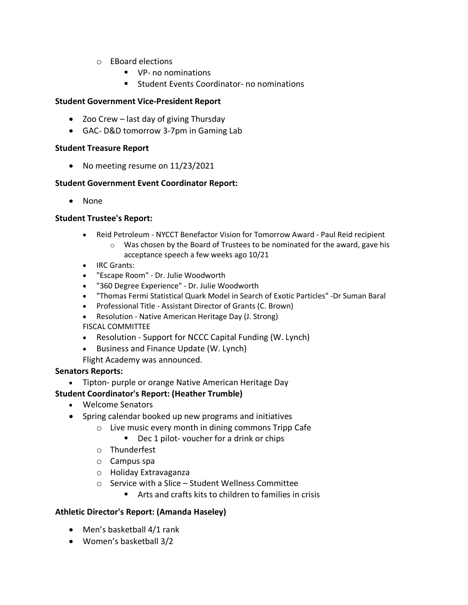- o EBoard elections
	- VP- no nominations
	- Student Events Coordinator- no nominations

# **Student Government Vice-President Report**

- Zoo Crew last day of giving Thursday
- GAC- D&D tomorrow 3-7pm in Gaming Lab

### **Student Treasure Report**

• No meeting resume on 11/23/2021

# **Student Government Event Coordinator Report:**

• None

# **Student Trustee's Report:**

- Reid Petroleum NYCCT Benefactor Vision for Tomorrow Award Paul Reid recipient
	- $\circ$  Was chosen by the Board of Trustees to be nominated for the award, gave his acceptance speech a few weeks ago 10/21
- IRC Grants:
- "Escape Room" Dr. Julie Woodworth
- "360 Degree Experience" Dr. Julie Woodworth
- "Thomas Fermi Statistical Quark Model in Search of Exotic Particles" -Dr Suman Baral
- Professional Title Assistant Director of Grants (C. Brown)
- Resolution Native American Heritage Day (J. Strong)
- FISCAL COMMITTEE
- Resolution Support for NCCC Capital Funding (W. Lynch)
- Business and Finance Update (W. Lynch)
- Flight Academy was announced.

# **Senators Reports:**

• Tipton- purple or orange Native American Heritage Day

# **Student Coordinator's Report: (Heather Trumble)**

- Welcome Senators
- Spring calendar booked up new programs and initiatives
	- o Live music every month in dining commons Tripp Cafe
		- Dec 1 pilot- voucher for a drink or chips
	- o Thunderfest
	- o Campus spa
	- o Holiday Extravaganza
	- o Service with a Slice Student Wellness Committee
		- Arts and crafts kits to children to families in crisis

# **Athletic Director's Report: (Amanda Haseley)**

- Men's basketball 4/1 rank
- Women's basketball 3/2